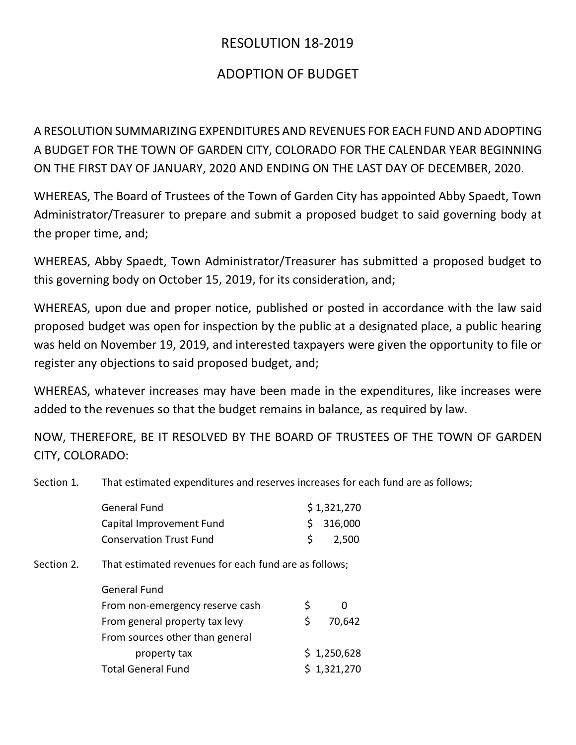## RESOLUTION 18-2019

## ADOPTION OF BUDGET

A RESOLUTION SUMMARIZING EXPENDITURES AND REVENUES FOR EACH FUND AND ADOPTING A BUDGET FOR THE TOWN OF GARDEN CITY, COLORADO FOR THE CALENDAR YEAR BEGINNING ON THE FIRST DAY OF JANUARY, 2020 AND ENDING ON THE LAST DAY OF DECEMBER, 2020.

WHEREAS, The Board of Trustees of the Town of Garden City has appointed Abby Spaedt, Town Administrator/Treasurer to prepare and submit a proposed budget to said governing body at the proper time, and;

WHEREAS, Abby Spaedt, Town Administrator/Treasurer has submitted a proposed budget to this governing body on October 15, 2019, for its consideration, and;

WHEREAS, upon due and proper notice, published or posted in accordance with the law said proposed budget was open for inspection by the public at a designated place, a public hearing was held on November 19, 2019, and interested taxpayers were given the opportunity to file or register any objections to said proposed budget, and;

WHEREAS, whatever increases may have been made in the expenditures, like increases were added to the revenues so that the budget remains in balance, as required by law.

NOW, THEREFORE, BE IT RESOLVED BY THE BOARD OF TRUSTEES OF THE TOWN OF GARDEN CITY, COLORADO:

Section 1. That estimated expenditures and reserves increases for each fund are as follows;

|            | <b>General Fund</b>                                   |    | \$1,321,270 |  |
|------------|-------------------------------------------------------|----|-------------|--|
|            | Capital Improvement Fund                              |    | 316,000     |  |
|            | <b>Conservation Trust Fund</b>                        | \$ | 2,500       |  |
| Section 2. | That estimated revenues for each fund are as follows; |    |             |  |
|            | <b>General Fund</b>                                   |    |             |  |
|            | From non-emergency reserve cash                       | \$ | 0           |  |
|            | From general property tax levy                        | \$ | 70,642      |  |
|            | From sources other than general                       |    |             |  |
|            | property tax                                          |    | \$1,250,628 |  |
|            | <b>Total General Fund</b>                             |    | \$1,321,270 |  |
|            |                                                       |    |             |  |